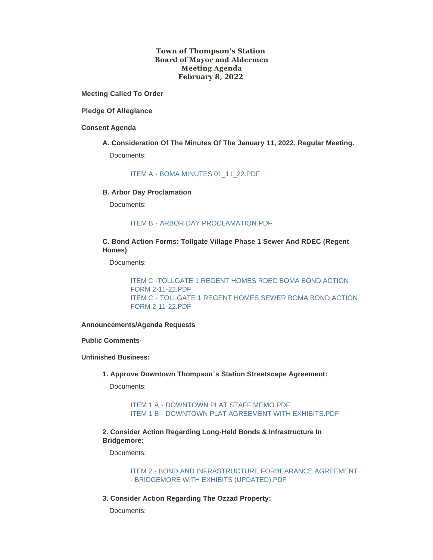# **Town of Thompson's Station Board of Mayor and Aldermen Meeting Agenda February 8, 2022**

**Meeting Called To Order**

**Pledge Of Allegiance**

#### **Consent Agenda**

**A. Consideration Of The Minutes Of The January 11, 2022, Regular Meeting.** Documents:

[ITEM A - BOMA MINUTES 01\\_11\\_22.PDF](https://www.thompsons-station.com/AgendaCenter/ViewFile/Item/3620?fileID=15169)

#### **B. Arbor Day Proclamation**

Documents:

## ITEM B - [ARBOR DAY PROCLAMATION.PDF](https://www.thompsons-station.com/AgendaCenter/ViewFile/Item/3621?fileID=15170)

# **C. Bond Action Forms: Tollgate Village Phase 1 Sewer And RDEC (Regent Homes)**

Documents:

[ITEM C -TOLLGATE 1 REGENT HOMES RDEC BOMA BOND ACTION](https://www.thompsons-station.com/AgendaCenter/ViewFile/Item/3622?fileID=15171)  FORM 2-11-22.PDF ITEM C - [TOLLGATE 1 REGENT HOMES SEWER BOMA BOND ACTION](https://www.thompsons-station.com/AgendaCenter/ViewFile/Item/3622?fileID=15172)  FORM 2-11-22.PDF

**Announcements/Agenda Requests**

**Public Comments-**

**Unfinished Business:**

**1. Approve Downtown Thompson's Station Streetscape Agreement:** 

Documents:

ITEM 1 A - [DOWNTOWN PLAT STAFF MEMO.PDF](https://www.thompsons-station.com/AgendaCenter/ViewFile/Item/3623?fileID=15173) ITEM 1 B - [DOWNTOWN PLAT AGREEMENT WITH EXHIBITS.PDF](https://www.thompsons-station.com/AgendaCenter/ViewFile/Item/3623?fileID=15200)

**2. Consider Action Regarding Long-Held Bonds & Infrastructure In Bridgemore:**

Documents:

[ITEM 2 - BOND AND INFRASTRUCTURE FORBEARANCE AGREEMENT](https://www.thompsons-station.com/AgendaCenter/ViewFile/Item/3624?fileID=15174)  - BRIDGEMORE WITH EXHIBITS (UPDATED).PDF

**3. Consider Action Regarding The Ozzad Property:**

Documents: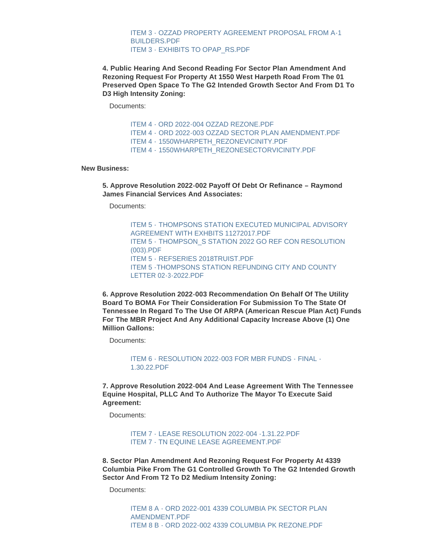[ITEM 3 - OZZAD PROPERTY AGREEMENT PROPOSAL FROM A-1](https://www.thompsons-station.com/AgendaCenter/ViewFile/Item/3625?fileID=15212)  BUILDERS.PDF [ITEM 3 - EXHIBITS TO OPAP\\_RS.PDF](https://www.thompsons-station.com/AgendaCenter/ViewFile/Item/3625?fileID=15211)

**4. Public Hearing And Second Reading For Sector Plan Amendment And Rezoning Request For Property At 1550 West Harpeth Road From The 01 Preserved Open Space To The G2 Intended Growth Sector And From D1 To D3 High Intensity Zoning:** 

Documents:

[ITEM 4 - ORD 2022-004 OZZAD REZONE.PDF](https://www.thompsons-station.com/AgendaCenter/ViewFile/Item/3626?fileID=15197) ITEM 4 - [ORD 2022-003 OZZAD SECTOR PLAN AMENDMENT.PDF](https://www.thompsons-station.com/AgendaCenter/ViewFile/Item/3626?fileID=15196) ITEM 4 - [1550WHARPETH\\_REZONEVICINITY.PDF](https://www.thompsons-station.com/AgendaCenter/ViewFile/Item/3626?fileID=15177) ITEM 4 - [1550WHARPETH\\_REZONESECTORVICINITY.PDF](https://www.thompsons-station.com/AgendaCenter/ViewFile/Item/3626?fileID=15176)

#### **New Business:**

**5. Approve Resolution 2022-002 Payoff Of Debt Or Refinance – Raymond James Financial Services And Associates:**

Documents:

ITEM 5 - [THOMPSONS STATION EXECUTED MUNICIPAL ADVISORY](https://www.thompsons-station.com/AgendaCenter/ViewFile/Item/3627?fileID=15205)  AGREEMENT WITH EXHBITS 11272017.PDF ITEM 5 - [THOMPSON\\_S STATION 2022 GO REF CON RESOLUTION](https://www.thompsons-station.com/AgendaCenter/ViewFile/Item/3627?fileID=15203)  (003).PDF ITEM 5 - [REFSERIES 2018TRUIST.PDF](https://www.thompsons-station.com/AgendaCenter/ViewFile/Item/3627?fileID=15206) [ITEM 5 -THOMPSONS STATION REFUNDING CITY AND COUNTY](https://www.thompsons-station.com/AgendaCenter/ViewFile/Item/3627?fileID=15207)  LETTER 02-3-2022.PDF

**6. Approve Resolution 2022-003 Recommendation On Behalf Of The Utility Board To BOMA For Their Consideration For Submission To The State Of Tennessee In Regard To The Use Of ARPA (American Rescue Plan Act) Funds For The MBR Project And Any Additional Capacity Increase Above (1) One Million Gallons:**

Documents:

[ITEM 6 - RESOLUTION 2022-003 FOR MBR FUNDS - FINAL -](https://www.thompsons-station.com/AgendaCenter/ViewFile/Item/3628?fileID=15179) 1.30.22.PDF

**7. Approve Resolution 2022-004 And Lease Agreement With The Tennessee Equine Hospital, PLLC And To Authorize The Mayor To Execute Said Agreement:**

Documents:

[ITEM 7 - LEASE RESOLUTION 2022-004 -1.31.22.PDF](https://www.thompsons-station.com/AgendaCenter/ViewFile/Item/3629?fileID=15180) [ITEM 7 - TN EQUINE LEASE AGREEMENT.PDF](https://www.thompsons-station.com/AgendaCenter/ViewFile/Item/3629?fileID=15181)

**8. Sector Plan Amendment And Rezoning Request For Property At 4339 Columbia Pike From The G1 Controlled Growth To The G2 Intended Growth Sector And From T2 To D2 Medium Intensity Zoning:**

Documents:

[ITEM 8 A - ORD 2022-001 4339 COLUMBIA PK SECTOR PLAN](https://www.thompsons-station.com/AgendaCenter/ViewFile/Item/3630?fileID=15182)  AMENDMENT.PDF [ITEM 8 B - ORD 2022-002 4339 COLUMBIA PK REZONE.PDF](https://www.thompsons-station.com/AgendaCenter/ViewFile/Item/3630?fileID=15183)